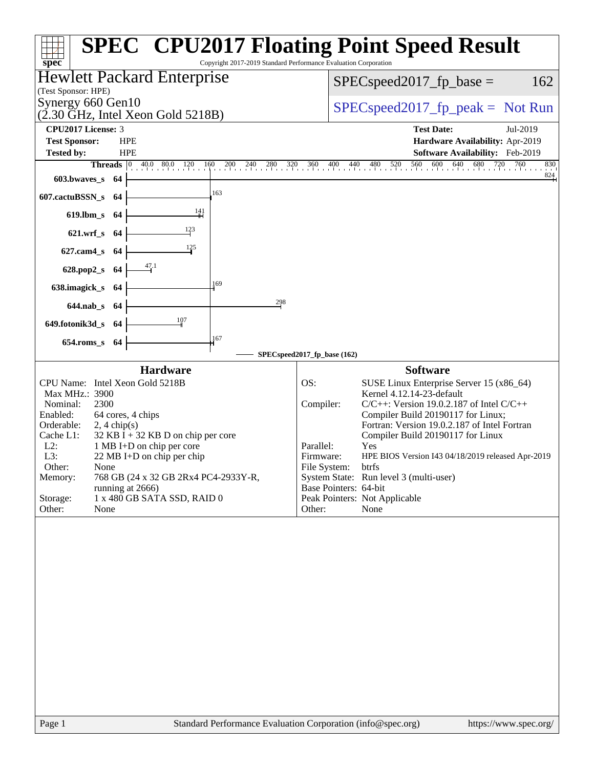| spec <sup>®</sup>                                | <b>SPEC<sup>®</sup></b> CPU2017 Floating Point Speed Result<br>Copyright 2017-2019 Standard Performance Evaluation Corporation |                                                                                    |                                 |
|--------------------------------------------------|--------------------------------------------------------------------------------------------------------------------------------|------------------------------------------------------------------------------------|---------------------------------|
| (Test Sponsor: HPE)                              | <b>Hewlett Packard Enterprise</b>                                                                                              | $SPEC speed2017_fp\_base =$                                                        | 162                             |
| Synergy 660 Gen10                                | $(2.30 \text{ GHz}, \text{Intel Xeon Gold } 5218B)$                                                                            | $SPEC speed2017rfp peak = Not Run$                                                 |                                 |
| <b>CPU2017 License: 3</b>                        |                                                                                                                                | <b>Test Date:</b>                                                                  | Jul-2019                        |
| <b>Test Sponsor:</b>                             | <b>HPE</b>                                                                                                                     |                                                                                    | Hardware Availability: Apr-2019 |
| <b>Tested by:</b>                                | <b>HPE</b>                                                                                                                     |                                                                                    | Software Availability: Feb-2019 |
|                                                  | Threads 0 40.0 80.0 120 160 200 240 280 320 360 400 440 480 520 560 600 640 680 720 760 830                                    |                                                                                    |                                 |
| 603.bwaves_s 64                                  |                                                                                                                                |                                                                                    | $\frac{824}{ }$                 |
| 607.cactuBSSN_s 64                               | 163                                                                                                                            |                                                                                    |                                 |
| 619.lbm_s 64                                     | $\frac{141}{1}$                                                                                                                |                                                                                    |                                 |
| 621.wrf_s 64                                     | $\frac{123}{ }$                                                                                                                |                                                                                    |                                 |
| 627.cam4_s 64                                    | $\frac{125}{1}$                                                                                                                |                                                                                    |                                 |
| 628.pop2_s 64                                    |                                                                                                                                |                                                                                    |                                 |
| 638.imagick_s 64                                 | 169                                                                                                                            |                                                                                    |                                 |
| 644.nab s 64                                     | 298                                                                                                                            |                                                                                    |                                 |
| 649.fotonik3d_s 64                               | $\frac{107}{2}$                                                                                                                |                                                                                    |                                 |
| 654.roms_s 64                                    | 167                                                                                                                            |                                                                                    |                                 |
|                                                  |                                                                                                                                | SPECspeed2017_fp_base (162)                                                        |                                 |
|                                                  | <b>Hardware</b>                                                                                                                | <b>Software</b>                                                                    |                                 |
| CPU Name: Intel Xeon Gold 5218B                  |                                                                                                                                | OS:<br>SUSE Linux Enterprise Server 15 (x86_64)                                    |                                 |
| Max MHz.: 3900                                   |                                                                                                                                | Kernel 4.12.14-23-default                                                          |                                 |
| Nominal:<br>2300                                 |                                                                                                                                | Compiler:<br>$C/C++$ : Version 19.0.2.187 of Intel $C/C++$                         |                                 |
| Enabled:<br>Orderable:<br>$2, 4 \text{ chip}(s)$ | 64 cores, 4 chips                                                                                                              | Compiler Build 20190117 for Linux;<br>Fortran: Version 19.0.2.187 of Intel Fortran |                                 |
| Cache L1:                                        | $32$ KB I + 32 KB D on chip per core                                                                                           | Compiler Build 20190117 for Linux                                                  |                                 |
| $L2$ :                                           | 1 MB I+D on chip per core                                                                                                      | Parallel:<br>Yes                                                                   |                                 |
| L3:                                              | 22 MB I+D on chip per chip                                                                                                     | HPE BIOS Version I43 04/18/2019 released Apr-2019<br>Firmware:                     |                                 |
| Other:<br>None                                   |                                                                                                                                | File System:<br>btrfs                                                              |                                 |
| Memory:                                          | 768 GB (24 x 32 GB 2Rx4 PC4-2933Y-R,<br>running at 2666)                                                                       | System State: Run level 3 (multi-user)<br>Base Pointers: 64-bit                    |                                 |
| Storage:                                         | 1 x 480 GB SATA SSD, RAID 0                                                                                                    | Peak Pointers: Not Applicable                                                      |                                 |
| Other:<br>None                                   |                                                                                                                                | Other:<br>None                                                                     |                                 |
|                                                  |                                                                                                                                |                                                                                    |                                 |
| $P300$ 1                                         | Standard Performance Evaluation Corporation (info@spec.org)                                                                    |                                                                                    | http://www.                     |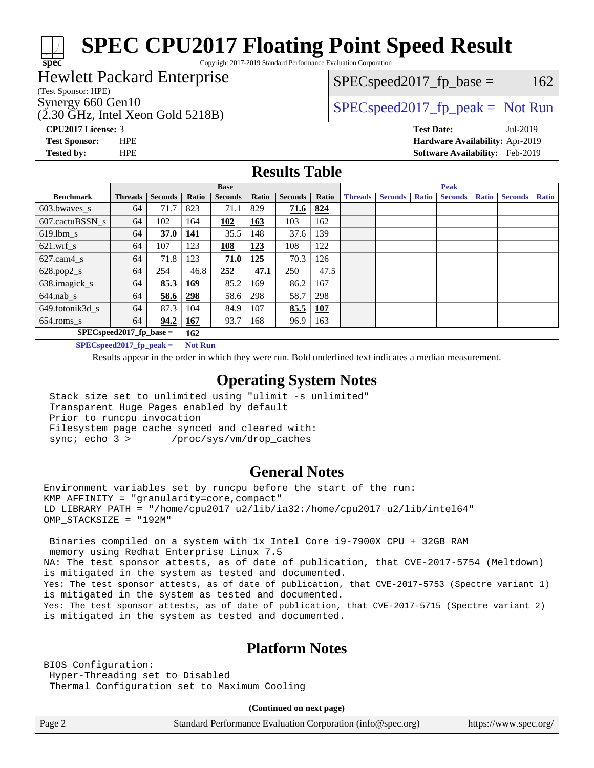Copyright 2017-2019 Standard Performance Evaluation Corporation

#### Hewlett Packard Enterprise

(Test Sponsor: HPE)

**[spec](http://www.spec.org/)**

(2.30 GHz, Intel Xeon Gold 5218B)

 $SPEC speed2017_fp\_base = 162$ 

Synergy 660 Gen10<br>  $SPEC speed2017$  [p\_peak = Not Run

**[CPU2017 License:](http://www.spec.org/auto/cpu2017/Docs/result-fields.html#CPU2017License)** 3 **[Test Date:](http://www.spec.org/auto/cpu2017/Docs/result-fields.html#TestDate)** Jul-2019 **[Test Sponsor:](http://www.spec.org/auto/cpu2017/Docs/result-fields.html#TestSponsor)** HPE **[Hardware Availability:](http://www.spec.org/auto/cpu2017/Docs/result-fields.html#HardwareAvailability)** Apr-2019 **[Tested by:](http://www.spec.org/auto/cpu2017/Docs/result-fields.html#Testedby)** HPE **[Software Availability:](http://www.spec.org/auto/cpu2017/Docs/result-fields.html#SoftwareAvailability)** Feb-2019

#### **[Results Table](http://www.spec.org/auto/cpu2017/Docs/result-fields.html#ResultsTable)**

|                                   | <b>Base</b>    |                |                |                |       |                | <b>Peak</b> |                |                |              |                |              |                |              |
|-----------------------------------|----------------|----------------|----------------|----------------|-------|----------------|-------------|----------------|----------------|--------------|----------------|--------------|----------------|--------------|
| <b>Benchmark</b>                  | <b>Threads</b> | <b>Seconds</b> | Ratio          | <b>Seconds</b> | Ratio | <b>Seconds</b> | Ratio       | <b>Threads</b> | <b>Seconds</b> | <b>Ratio</b> | <b>Seconds</b> | <b>Ratio</b> | <b>Seconds</b> | <b>Ratio</b> |
| 603.bwayes s                      | 64             | 71.7           | 823            | 71.1           | 829   | 71.6           | 824         |                |                |              |                |              |                |              |
| 607.cactuBSSN s                   | 64             | 102            | 164            | 102            | 163   | 103            | 162         |                |                |              |                |              |                |              |
| $619.$ lbm s                      | 64             | 37.0           | 141            | 35.5           | 148   | 37.6           | 139         |                |                |              |                |              |                |              |
| $621.wrf$ s                       | 64             | 107            | 123            | 108            | 123   | 108            | 122         |                |                |              |                |              |                |              |
| $627$ .cam $4 \text{ s}$          | 64             | 71.8           | 123            | 71.0           | 125   | 70.3           | 126         |                |                |              |                |              |                |              |
| $628.pop2_s$                      | 64             | 254            | 46.8           | 252            | 47.1  | 250            | 47.5        |                |                |              |                |              |                |              |
| 638.imagick_s                     | 64             | 85.3           | 169            | 85.2           | 169   | 86.2           | 167         |                |                |              |                |              |                |              |
| $644$ .nab s                      | 64             | 58.6           | 298            | 58.6           | 298   | 58.7           | 298         |                |                |              |                |              |                |              |
| 649.fotonik3d s                   | 64             | 87.3           | 104            | 84.9           | 107   | 85.5           | 107         |                |                |              |                |              |                |              |
| $654$ .roms s                     | 64             | 94.2           | 167            | 93.7           | 168   | 96.9           | 163         |                |                |              |                |              |                |              |
| $SPEC speed2017$ fp base =<br>162 |                |                |                |                |       |                |             |                |                |              |                |              |                |              |
| $SPECspeed2017$ fp peak =         |                |                | <b>Not Run</b> |                |       |                |             |                |                |              |                |              |                |              |

Results appear in the [order in which they were run.](http://www.spec.org/auto/cpu2017/Docs/result-fields.html#RunOrder) Bold underlined text [indicates a median measurement](http://www.spec.org/auto/cpu2017/Docs/result-fields.html#Median).

#### **[Operating System Notes](http://www.spec.org/auto/cpu2017/Docs/result-fields.html#OperatingSystemNotes)**

 Stack size set to unlimited using "ulimit -s unlimited" Transparent Huge Pages enabled by default Prior to runcpu invocation Filesystem page cache synced and cleared with: sync; echo 3 > /proc/sys/vm/drop\_caches

#### **[General Notes](http://www.spec.org/auto/cpu2017/Docs/result-fields.html#GeneralNotes)**

Environment variables set by runcpu before the start of the run: KMP\_AFFINITY = "granularity=core,compact" LD\_LIBRARY\_PATH = "/home/cpu2017\_u2/lib/ia32:/home/cpu2017\_u2/lib/intel64" OMP\_STACKSIZE = "192M"

 Binaries compiled on a system with 1x Intel Core i9-7900X CPU + 32GB RAM memory using Redhat Enterprise Linux 7.5 NA: The test sponsor attests, as of date of publication, that CVE-2017-5754 (Meltdown) is mitigated in the system as tested and documented. Yes: The test sponsor attests, as of date of publication, that CVE-2017-5753 (Spectre variant 1) is mitigated in the system as tested and documented. Yes: The test sponsor attests, as of date of publication, that CVE-2017-5715 (Spectre variant 2) is mitigated in the system as tested and documented.

#### **[Platform Notes](http://www.spec.org/auto/cpu2017/Docs/result-fields.html#PlatformNotes)**

BIOS Configuration: Hyper-Threading set to Disabled Thermal Configuration set to Maximum Cooling

**(Continued on next page)**

Page 2 Standard Performance Evaluation Corporation [\(info@spec.org\)](mailto:info@spec.org) <https://www.spec.org/>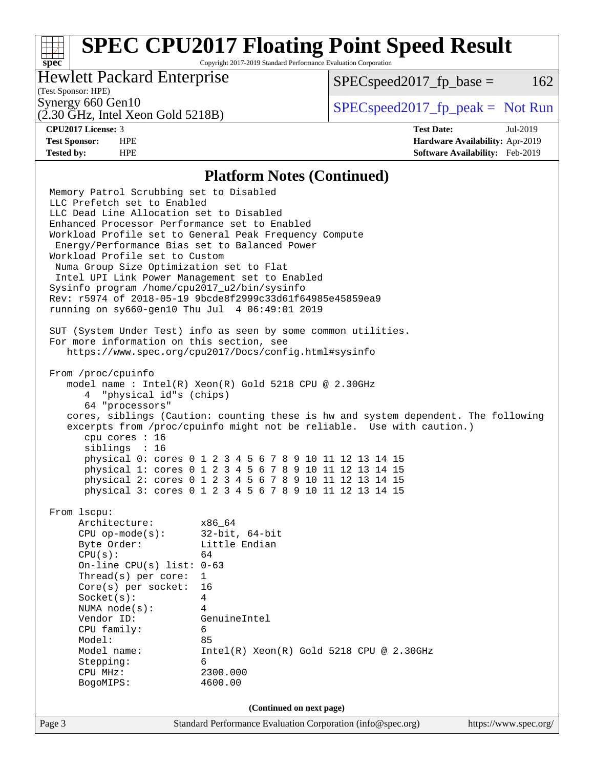Copyright 2017-2019 Standard Performance Evaluation Corporation

#### Hewlett Packard Enterprise

 $SPEC speed2017_fp\_base = 162$ 

## (Test Sponsor: HPE)

(2.30 GHz, Intel Xeon Gold 5218B)

Synergy 660 Gen10<br>  $SPEC speed2017<sub>rfp</sub> peak = Not Run$ 

**[spec](http://www.spec.org/)**

**[CPU2017 License:](http://www.spec.org/auto/cpu2017/Docs/result-fields.html#CPU2017License)** 3 **[Test Date:](http://www.spec.org/auto/cpu2017/Docs/result-fields.html#TestDate)** Jul-2019 **[Test Sponsor:](http://www.spec.org/auto/cpu2017/Docs/result-fields.html#TestSponsor)** HPE **[Hardware Availability:](http://www.spec.org/auto/cpu2017/Docs/result-fields.html#HardwareAvailability)** Apr-2019 **[Tested by:](http://www.spec.org/auto/cpu2017/Docs/result-fields.html#Testedby)** HPE **[Software Availability:](http://www.spec.org/auto/cpu2017/Docs/result-fields.html#SoftwareAvailability)** Feb-2019

#### **[Platform Notes \(Continued\)](http://www.spec.org/auto/cpu2017/Docs/result-fields.html#PlatformNotes)**

Page 3 Standard Performance Evaluation Corporation [\(info@spec.org\)](mailto:info@spec.org) <https://www.spec.org/> Memory Patrol Scrubbing set to Disabled LLC Prefetch set to Enabled LLC Dead Line Allocation set to Disabled Enhanced Processor Performance set to Enabled Workload Profile set to General Peak Frequency Compute Energy/Performance Bias set to Balanced Power Workload Profile set to Custom Numa Group Size Optimization set to Flat Intel UPI Link Power Management set to Enabled Sysinfo program /home/cpu2017\_u2/bin/sysinfo Rev: r5974 of 2018-05-19 9bcde8f2999c33d61f64985e45859ea9 running on sy660-gen10 Thu Jul 4 06:49:01 2019 SUT (System Under Test) info as seen by some common utilities. For more information on this section, see <https://www.spec.org/cpu2017/Docs/config.html#sysinfo> From /proc/cpuinfo model name : Intel(R) Xeon(R) Gold 5218 CPU @ 2.30GHz 4 "physical id"s (chips) 64 "processors" cores, siblings (Caution: counting these is hw and system dependent. The following excerpts from /proc/cpuinfo might not be reliable. Use with caution.) cpu cores : 16 siblings : 16 physical 0: cores 0 1 2 3 4 5 6 7 8 9 10 11 12 13 14 15 physical 1: cores 0 1 2 3 4 5 6 7 8 9 10 11 12 13 14 15 physical 2: cores 0 1 2 3 4 5 6 7 8 9 10 11 12 13 14 15 physical 3: cores 0 1 2 3 4 5 6 7 8 9 10 11 12 13 14 15 From lscpu: Architecture: x86\_64 CPU op-mode(s): 32-bit, 64-bit Byte Order: Little Endian  $CPU(s):$  64 On-line CPU(s) list: 0-63 Thread(s) per core: 1 Core(s) per socket: 16 Socket(s): 4 NUMA node(s): 4 Vendor ID: GenuineIntel CPU family: 6 Model: 85<br>Model name: 1n  $Intel(R)$  Xeon(R) Gold 5218 CPU @ 2.30GHz Stepping: 6 CPU MHz: 2300.000 BogoMIPS: 4600.00 **(Continued on next page)**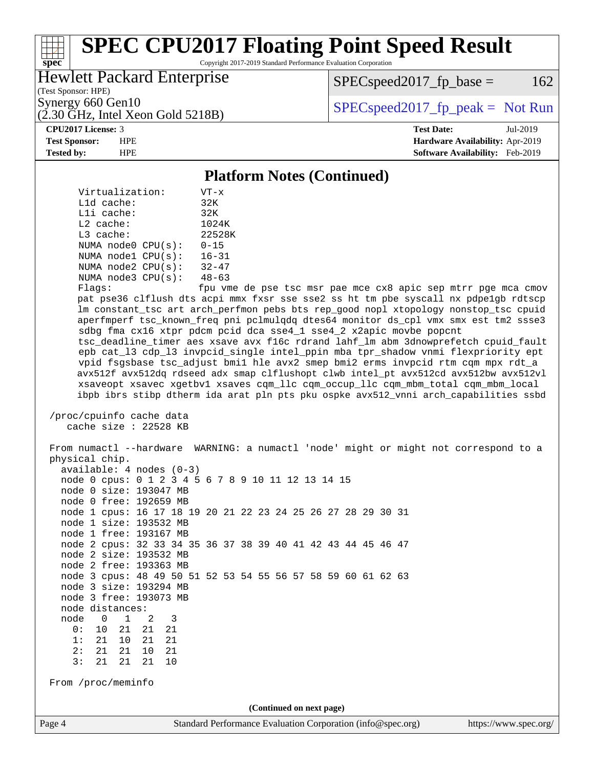Copyright 2017-2019 Standard Performance Evaluation Corporation

#### Hewlett Packard Enterprise

 $SPEC speed2017<sub>fp</sub> base =  $162$$ 

(Test Sponsor: HPE)

(2.30 GHz, Intel Xeon Gold 5218B)

Synergy 660 Gen10<br>  $SPEC speed2017$  [p\_peak = Not Run

#### **[CPU2017 License:](http://www.spec.org/auto/cpu2017/Docs/result-fields.html#CPU2017License)** 3 **[Test Date:](http://www.spec.org/auto/cpu2017/Docs/result-fields.html#TestDate)** Jul-2019

**[spec](http://www.spec.org/)**

**[Test Sponsor:](http://www.spec.org/auto/cpu2017/Docs/result-fields.html#TestSponsor)** HPE **[Hardware Availability:](http://www.spec.org/auto/cpu2017/Docs/result-fields.html#HardwareAvailability)** Apr-2019 **[Tested by:](http://www.spec.org/auto/cpu2017/Docs/result-fields.html#Testedby)** HPE **[Software Availability:](http://www.spec.org/auto/cpu2017/Docs/result-fields.html#SoftwareAvailability)** Feb-2019

#### **[Platform Notes \(Continued\)](http://www.spec.org/auto/cpu2017/Docs/result-fields.html#PlatformNotes)**

 Virtualization: VT-x L1d cache: 32K L1i cache: 32K L2 cache: 1024K L3 cache: 22528K NUMA node0 CPU(s): 0-15 NUMA node1 CPU(s): 16-31 NUMA node2 CPU(s): 32-47 NUMA node3 CPU(s): 48-63

Flags: fpu vme de pse tsc msr pae mce cx8 apic sep mtrr pge mca cmov pat pse36 clflush dts acpi mmx fxsr sse sse2 ss ht tm pbe syscall nx pdpe1gb rdtscp lm constant\_tsc art arch\_perfmon pebs bts rep\_good nopl xtopology nonstop\_tsc cpuid aperfmperf tsc\_known\_freq pni pclmulqdq dtes64 monitor ds\_cpl vmx smx est tm2 ssse3 sdbg fma cx16 xtpr pdcm pcid dca sse4\_1 sse4\_2 x2apic movbe popcnt tsc\_deadline\_timer aes xsave avx f16c rdrand lahf\_lm abm 3dnowprefetch cpuid\_fault epb cat\_l3 cdp\_l3 invpcid\_single intel\_ppin mba tpr\_shadow vnmi flexpriority ept vpid fsgsbase tsc\_adjust bmi1 hle avx2 smep bmi2 erms invpcid rtm cqm mpx rdt\_a avx512f avx512dq rdseed adx smap clflushopt clwb intel\_pt avx512cd avx512bw avx512vl xsaveopt xsavec xgetbv1 xsaves cqm\_llc cqm\_occup\_llc cqm\_mbm\_total cqm\_mbm\_local ibpb ibrs stibp dtherm ida arat pln pts pku ospke avx512\_vnni arch\_capabilities ssbd

 /proc/cpuinfo cache data cache size : 22528 KB

Page 4 Standard Performance Evaluation Corporation [\(info@spec.org\)](mailto:info@spec.org) <https://www.spec.org/> From numactl --hardware WARNING: a numactl 'node' might or might not correspond to a physical chip. available: 4 nodes (0-3) node 0 cpus: 0 1 2 3 4 5 6 7 8 9 10 11 12 13 14 15 node 0 size: 193047 MB node 0 free: 192659 MB node 1 cpus: 16 17 18 19 20 21 22 23 24 25 26 27 28 29 30 31 node 1 size: 193532 MB node 1 free: 193167 MB node 2 cpus: 32 33 34 35 36 37 38 39 40 41 42 43 44 45 46 47 node 2 size: 193532 MB node 2 free: 193363 MB node 3 cpus: 48 49 50 51 52 53 54 55 56 57 58 59 60 61 62 63 node 3 size: 193294 MB node 3 free: 193073 MB node distances: node 0 1 2 3 0: 10 21 21 21 1: 21 10 21 21 2: 21 21 10 21 3: 21 21 21 10 From /proc/meminfo **(Continued on next page)**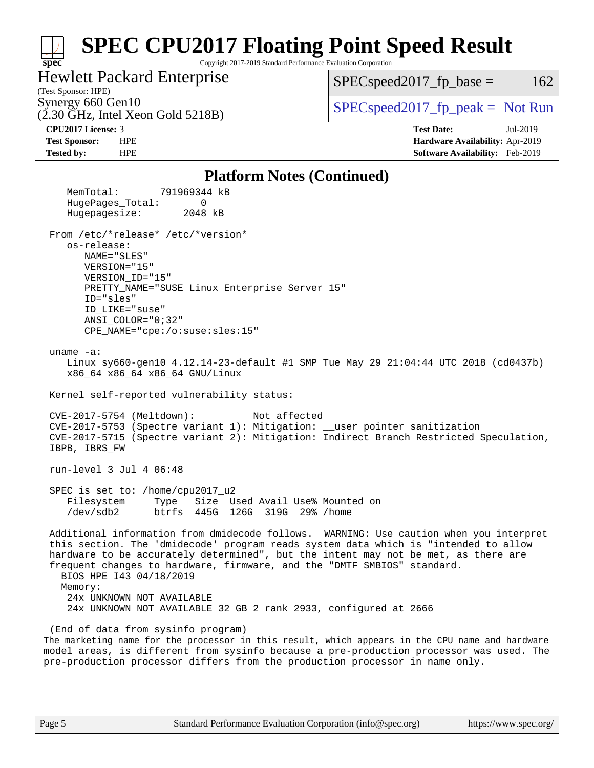#### **[spec](http://www.spec.org/) [SPEC CPU2017 Floating Point Speed Result](http://www.spec.org/auto/cpu2017/Docs/result-fields.html#SPECCPU2017FloatingPointSpeedResult)** Copyright 2017-2019 Standard Performance Evaluation Corporation (Test Sponsor: HPE) Hewlett Packard Enterprise (2.30 GHz, Intel Xeon Gold 5218B) Synergy 660 Gen10<br>  $SPEC speed2017<sub>rfp</sub> peak = Not Run$  $SPEC speed2017<sub>fp</sub> base =  $162$$ **[CPU2017 License:](http://www.spec.org/auto/cpu2017/Docs/result-fields.html#CPU2017License)** 3 **[Test Date:](http://www.spec.org/auto/cpu2017/Docs/result-fields.html#TestDate)** Jul-2019 **[Test Sponsor:](http://www.spec.org/auto/cpu2017/Docs/result-fields.html#TestSponsor)** HPE **[Hardware Availability:](http://www.spec.org/auto/cpu2017/Docs/result-fields.html#HardwareAvailability)** Apr-2019 **[Tested by:](http://www.spec.org/auto/cpu2017/Docs/result-fields.html#Testedby)** HPE **[Software Availability:](http://www.spec.org/auto/cpu2017/Docs/result-fields.html#SoftwareAvailability)** Feb-2019 **[Platform Notes \(Continued\)](http://www.spec.org/auto/cpu2017/Docs/result-fields.html#PlatformNotes)** MemTotal: 791969344 kB HugePages\_Total: 0 Hugepagesize: 2048 kB From /etc/\*release\* /etc/\*version\* os-release: NAME="SLES" VERSION="15" VERSION\_ID="15" PRETTY\_NAME="SUSE Linux Enterprise Server 15" ID="sles" ID\_LIKE="suse" ANSI\_COLOR="0;32" CPE\_NAME="cpe:/o:suse:sles:15" uname -a: Linux sy660-gen10 4.12.14-23-default #1 SMP Tue May 29 21:04:44 UTC 2018 (cd0437b) x86\_64 x86\_64 x86\_64 GNU/Linux Kernel self-reported vulnerability status: CVE-2017-5754 (Meltdown): Not affected CVE-2017-5753 (Spectre variant 1): Mitigation: \_\_user pointer sanitization CVE-2017-5715 (Spectre variant 2): Mitigation: Indirect Branch Restricted Speculation, IBPB, IBRS\_FW run-level 3 Jul 4 06:48 SPEC is set to: /home/cpu2017\_u2 Filesystem Type Size Used Avail Use% Mounted on /dev/sdb2 btrfs 445G 126G 319G 29% /home Additional information from dmidecode follows. WARNING: Use caution when you interpret this section. The 'dmidecode' program reads system data which is "intended to allow hardware to be accurately determined", but the intent may not be met, as there are frequent changes to hardware, firmware, and the "DMTF SMBIOS" standard. BIOS HPE I43 04/18/2019 Memory: 24x UNKNOWN NOT AVAILABLE 24x UNKNOWN NOT AVAILABLE 32 GB 2 rank 2933, configured at 2666 (End of data from sysinfo program) The marketing name for the processor in this result, which appears in the CPU name and hardware model areas, is different from sysinfo because a pre-production processor was used. The pre-production processor differs from the production processor in name only.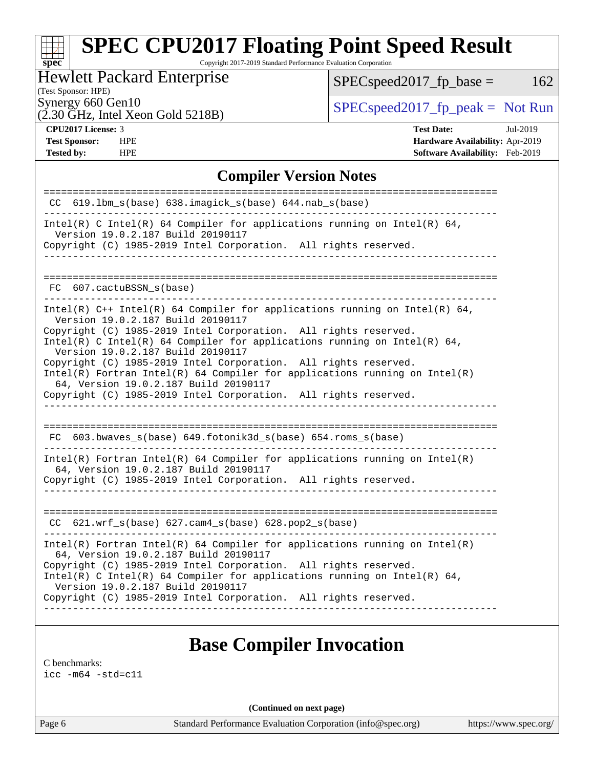Copyright 2017-2019 Standard Performance Evaluation Corporation

#### Hewlett Packard Enterprise

 $SPEC speed2017_fp\_base = 162$ 

### (Test Sponsor: HPE)

(2.30 GHz, Intel Xeon Gold 5218B)

Synergy 660 Gen10<br>  $SPEC speed2017<sub>rfp</sub> peak = Not Run$ 

**[spec](http://www.spec.org/)**

**[Tested by:](http://www.spec.org/auto/cpu2017/Docs/result-fields.html#Testedby)** HPE **[Software Availability:](http://www.spec.org/auto/cpu2017/Docs/result-fields.html#SoftwareAvailability)** Feb-2019

**[CPU2017 License:](http://www.spec.org/auto/cpu2017/Docs/result-fields.html#CPU2017License)** 3 **[Test Date:](http://www.spec.org/auto/cpu2017/Docs/result-fields.html#TestDate)** Jul-2019 **[Test Sponsor:](http://www.spec.org/auto/cpu2017/Docs/result-fields.html#TestSponsor)** HPE **[Hardware Availability:](http://www.spec.org/auto/cpu2017/Docs/result-fields.html#HardwareAvailability)** Apr-2019

#### **[Compiler Version Notes](http://www.spec.org/auto/cpu2017/Docs/result-fields.html#CompilerVersionNotes)**

| CC 619.1bm_s(base) 638.imagick_s(base) 644.nab_s(base)                                                                                                                                   |
|------------------------------------------------------------------------------------------------------------------------------------------------------------------------------------------|
| Intel(R) C Intel(R) 64 Compiler for applications running on Intel(R) 64,<br>Version 19.0.2.187 Build 20190117                                                                            |
| Copyright (C) 1985-2019 Intel Corporation. All rights reserved.<br>______________________________                                                                                        |
|                                                                                                                                                                                          |
| FC 607.cactuBSSN s(base)                                                                                                                                                                 |
| Intel(R) $C++$ Intel(R) 64 Compiler for applications running on Intel(R) 64,<br>Version 19.0.2.187 Build 20190117                                                                        |
| Copyright (C) 1985-2019 Intel Corporation. All rights reserved.<br>Intel(R) C Intel(R) 64 Compiler for applications running on Intel(R) 64,<br>Version 19.0.2.187 Build 20190117         |
| Copyright (C) 1985-2019 Intel Corporation. All rights reserved.<br>$Intel(R)$ Fortran Intel(R) 64 Compiler for applications running on Intel(R)<br>64, Version 19.0.2.187 Build 20190117 |
| Copyright (C) 1985-2019 Intel Corporation. All rights reserved.                                                                                                                          |
|                                                                                                                                                                                          |
| $FC$ 603.bwaves_s(base) 649.fotonik3d_s(base) 654.roms_s(base)                                                                                                                           |
| $Intel(R)$ Fortran Intel(R) 64 Compiler for applications running on Intel(R)<br>64, Version 19.0.2.187 Build 20190117                                                                    |
| Copyright (C) 1985-2019 Intel Corporation. All rights reserved.                                                                                                                          |
|                                                                                                                                                                                          |
| $CC$ 621.wrf_s(base) 627.cam4_s(base) 628.pop2_s(base)                                                                                                                                   |
| $Intel(R)$ Fortran Intel(R) 64 Compiler for applications running on Intel(R)<br>64, Version 19.0.2.187 Build 20190117                                                                    |
| Copyright (C) 1985-2019 Intel Corporation. All rights reserved.<br>Intel(R) C Intel(R) 64 Compiler for applications running on Intel(R) 64,<br>Version 19.0.2.187 Build 20190117         |
| Copyright (C) 1985-2019 Intel Corporation. All rights reserved.                                                                                                                          |
|                                                                                                                                                                                          |

#### **[Base Compiler Invocation](http://www.spec.org/auto/cpu2017/Docs/result-fields.html#BaseCompilerInvocation)**

[C benchmarks](http://www.spec.org/auto/cpu2017/Docs/result-fields.html#Cbenchmarks):

[icc -m64 -std=c11](http://www.spec.org/cpu2017/results/res2019q3/cpu2017-20190709-16188.flags.html#user_CCbase_intel_icc_64bit_c11_33ee0cdaae7deeeab2a9725423ba97205ce30f63b9926c2519791662299b76a0318f32ddfffdc46587804de3178b4f9328c46fa7c2b0cd779d7a61945c91cd35)

**(Continued on next page)**

Page 6 Standard Performance Evaluation Corporation [\(info@spec.org\)](mailto:info@spec.org) <https://www.spec.org/>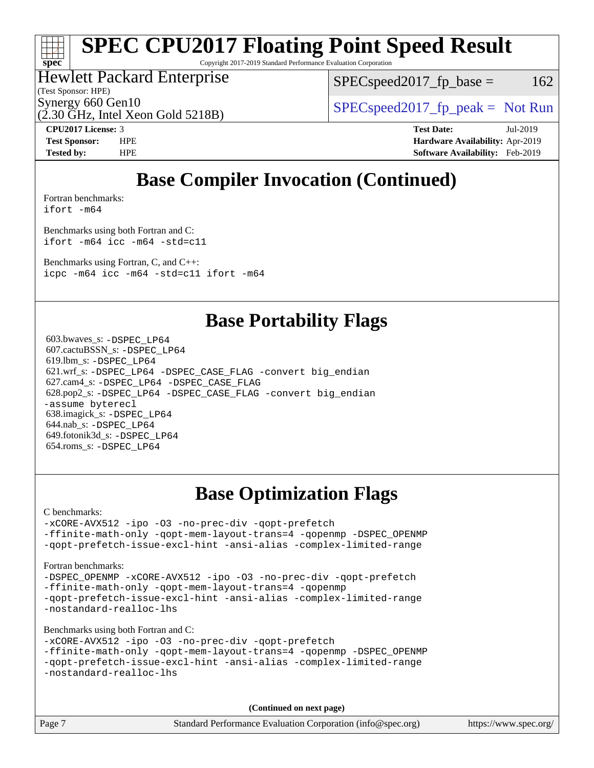# **[spec](http://www.spec.org/)**

# **[SPEC CPU2017 Floating Point Speed Result](http://www.spec.org/auto/cpu2017/Docs/result-fields.html#SPECCPU2017FloatingPointSpeedResult)**

Copyright 2017-2019 Standard Performance Evaluation Corporation

#### Hewlett Packard Enterprise

(2.30 GHz, Intel Xeon Gold 5218B)

(Test Sponsor: HPE)

 $SPEC speed2017_fp\_base = 162$ 

Synergy 660 Gen10<br>  $SPEC speed2017$  [p\_peak = Not Run

**[CPU2017 License:](http://www.spec.org/auto/cpu2017/Docs/result-fields.html#CPU2017License)** 3 **[Test Date:](http://www.spec.org/auto/cpu2017/Docs/result-fields.html#TestDate)** Jul-2019 **[Test Sponsor:](http://www.spec.org/auto/cpu2017/Docs/result-fields.html#TestSponsor)** HPE **[Hardware Availability:](http://www.spec.org/auto/cpu2017/Docs/result-fields.html#HardwareAvailability)** Apr-2019 **[Tested by:](http://www.spec.org/auto/cpu2017/Docs/result-fields.html#Testedby)** HPE **[Software Availability:](http://www.spec.org/auto/cpu2017/Docs/result-fields.html#SoftwareAvailability)** Feb-2019

# **[Base Compiler Invocation \(Continued\)](http://www.spec.org/auto/cpu2017/Docs/result-fields.html#BaseCompilerInvocation)**

[Fortran benchmarks](http://www.spec.org/auto/cpu2017/Docs/result-fields.html#Fortranbenchmarks): [ifort -m64](http://www.spec.org/cpu2017/results/res2019q3/cpu2017-20190709-16188.flags.html#user_FCbase_intel_ifort_64bit_24f2bb282fbaeffd6157abe4f878425411749daecae9a33200eee2bee2fe76f3b89351d69a8130dd5949958ce389cf37ff59a95e7a40d588e8d3a57e0c3fd751)

[Benchmarks using both Fortran and C](http://www.spec.org/auto/cpu2017/Docs/result-fields.html#BenchmarksusingbothFortranandC):

[ifort -m64](http://www.spec.org/cpu2017/results/res2019q3/cpu2017-20190709-16188.flags.html#user_CC_FCbase_intel_ifort_64bit_24f2bb282fbaeffd6157abe4f878425411749daecae9a33200eee2bee2fe76f3b89351d69a8130dd5949958ce389cf37ff59a95e7a40d588e8d3a57e0c3fd751) [icc -m64 -std=c11](http://www.spec.org/cpu2017/results/res2019q3/cpu2017-20190709-16188.flags.html#user_CC_FCbase_intel_icc_64bit_c11_33ee0cdaae7deeeab2a9725423ba97205ce30f63b9926c2519791662299b76a0318f32ddfffdc46587804de3178b4f9328c46fa7c2b0cd779d7a61945c91cd35)

[Benchmarks using Fortran, C, and C++:](http://www.spec.org/auto/cpu2017/Docs/result-fields.html#BenchmarksusingFortranCandCXX) [icpc -m64](http://www.spec.org/cpu2017/results/res2019q3/cpu2017-20190709-16188.flags.html#user_CC_CXX_FCbase_intel_icpc_64bit_4ecb2543ae3f1412ef961e0650ca070fec7b7afdcd6ed48761b84423119d1bf6bdf5cad15b44d48e7256388bc77273b966e5eb805aefd121eb22e9299b2ec9d9) [icc -m64 -std=c11](http://www.spec.org/cpu2017/results/res2019q3/cpu2017-20190709-16188.flags.html#user_CC_CXX_FCbase_intel_icc_64bit_c11_33ee0cdaae7deeeab2a9725423ba97205ce30f63b9926c2519791662299b76a0318f32ddfffdc46587804de3178b4f9328c46fa7c2b0cd779d7a61945c91cd35) [ifort -m64](http://www.spec.org/cpu2017/results/res2019q3/cpu2017-20190709-16188.flags.html#user_CC_CXX_FCbase_intel_ifort_64bit_24f2bb282fbaeffd6157abe4f878425411749daecae9a33200eee2bee2fe76f3b89351d69a8130dd5949958ce389cf37ff59a95e7a40d588e8d3a57e0c3fd751)

### **[Base Portability Flags](http://www.spec.org/auto/cpu2017/Docs/result-fields.html#BasePortabilityFlags)**

 603.bwaves\_s: [-DSPEC\\_LP64](http://www.spec.org/cpu2017/results/res2019q3/cpu2017-20190709-16188.flags.html#suite_basePORTABILITY603_bwaves_s_DSPEC_LP64) 607.cactuBSSN\_s: [-DSPEC\\_LP64](http://www.spec.org/cpu2017/results/res2019q3/cpu2017-20190709-16188.flags.html#suite_basePORTABILITY607_cactuBSSN_s_DSPEC_LP64) 619.lbm\_s: [-DSPEC\\_LP64](http://www.spec.org/cpu2017/results/res2019q3/cpu2017-20190709-16188.flags.html#suite_basePORTABILITY619_lbm_s_DSPEC_LP64) 621.wrf\_s: [-DSPEC\\_LP64](http://www.spec.org/cpu2017/results/res2019q3/cpu2017-20190709-16188.flags.html#suite_basePORTABILITY621_wrf_s_DSPEC_LP64) [-DSPEC\\_CASE\\_FLAG](http://www.spec.org/cpu2017/results/res2019q3/cpu2017-20190709-16188.flags.html#b621.wrf_s_baseCPORTABILITY_DSPEC_CASE_FLAG) [-convert big\\_endian](http://www.spec.org/cpu2017/results/res2019q3/cpu2017-20190709-16188.flags.html#user_baseFPORTABILITY621_wrf_s_convert_big_endian_c3194028bc08c63ac5d04de18c48ce6d347e4e562e8892b8bdbdc0214820426deb8554edfa529a3fb25a586e65a3d812c835984020483e7e73212c4d31a38223) 627.cam4\_s: [-DSPEC\\_LP64](http://www.spec.org/cpu2017/results/res2019q3/cpu2017-20190709-16188.flags.html#suite_basePORTABILITY627_cam4_s_DSPEC_LP64) [-DSPEC\\_CASE\\_FLAG](http://www.spec.org/cpu2017/results/res2019q3/cpu2017-20190709-16188.flags.html#b627.cam4_s_baseCPORTABILITY_DSPEC_CASE_FLAG) 628.pop2\_s: [-DSPEC\\_LP64](http://www.spec.org/cpu2017/results/res2019q3/cpu2017-20190709-16188.flags.html#suite_basePORTABILITY628_pop2_s_DSPEC_LP64) [-DSPEC\\_CASE\\_FLAG](http://www.spec.org/cpu2017/results/res2019q3/cpu2017-20190709-16188.flags.html#b628.pop2_s_baseCPORTABILITY_DSPEC_CASE_FLAG) [-convert big\\_endian](http://www.spec.org/cpu2017/results/res2019q3/cpu2017-20190709-16188.flags.html#user_baseFPORTABILITY628_pop2_s_convert_big_endian_c3194028bc08c63ac5d04de18c48ce6d347e4e562e8892b8bdbdc0214820426deb8554edfa529a3fb25a586e65a3d812c835984020483e7e73212c4d31a38223) [-assume byterecl](http://www.spec.org/cpu2017/results/res2019q3/cpu2017-20190709-16188.flags.html#user_baseFPORTABILITY628_pop2_s_assume_byterecl_7e47d18b9513cf18525430bbf0f2177aa9bf368bc7a059c09b2c06a34b53bd3447c950d3f8d6c70e3faf3a05c8557d66a5798b567902e8849adc142926523472) 638.imagick\_s: [-DSPEC\\_LP64](http://www.spec.org/cpu2017/results/res2019q3/cpu2017-20190709-16188.flags.html#suite_basePORTABILITY638_imagick_s_DSPEC_LP64) 644.nab\_s: [-DSPEC\\_LP64](http://www.spec.org/cpu2017/results/res2019q3/cpu2017-20190709-16188.flags.html#suite_basePORTABILITY644_nab_s_DSPEC_LP64) 649.fotonik3d\_s: [-DSPEC\\_LP64](http://www.spec.org/cpu2017/results/res2019q3/cpu2017-20190709-16188.flags.html#suite_basePORTABILITY649_fotonik3d_s_DSPEC_LP64) 654.roms\_s: [-DSPEC\\_LP64](http://www.spec.org/cpu2017/results/res2019q3/cpu2017-20190709-16188.flags.html#suite_basePORTABILITY654_roms_s_DSPEC_LP64)

# **[Base Optimization Flags](http://www.spec.org/auto/cpu2017/Docs/result-fields.html#BaseOptimizationFlags)**

[C benchmarks](http://www.spec.org/auto/cpu2017/Docs/result-fields.html#Cbenchmarks):

[-xCORE-AVX512](http://www.spec.org/cpu2017/results/res2019q3/cpu2017-20190709-16188.flags.html#user_CCbase_f-xCORE-AVX512) [-ipo](http://www.spec.org/cpu2017/results/res2019q3/cpu2017-20190709-16188.flags.html#user_CCbase_f-ipo) [-O3](http://www.spec.org/cpu2017/results/res2019q3/cpu2017-20190709-16188.flags.html#user_CCbase_f-O3) [-no-prec-div](http://www.spec.org/cpu2017/results/res2019q3/cpu2017-20190709-16188.flags.html#user_CCbase_f-no-prec-div) [-qopt-prefetch](http://www.spec.org/cpu2017/results/res2019q3/cpu2017-20190709-16188.flags.html#user_CCbase_f-qopt-prefetch) [-ffinite-math-only](http://www.spec.org/cpu2017/results/res2019q3/cpu2017-20190709-16188.flags.html#user_CCbase_f_finite_math_only_cb91587bd2077682c4b38af759c288ed7c732db004271a9512da14a4f8007909a5f1427ecbf1a0fb78ff2a814402c6114ac565ca162485bbcae155b5e4258871) [-qopt-mem-layout-trans=4](http://www.spec.org/cpu2017/results/res2019q3/cpu2017-20190709-16188.flags.html#user_CCbase_f-qopt-mem-layout-trans_fa39e755916c150a61361b7846f310bcdf6f04e385ef281cadf3647acec3f0ae266d1a1d22d972a7087a248fd4e6ca390a3634700869573d231a252c784941a8) [-qopenmp](http://www.spec.org/cpu2017/results/res2019q3/cpu2017-20190709-16188.flags.html#user_CCbase_qopenmp_16be0c44f24f464004c6784a7acb94aca937f053568ce72f94b139a11c7c168634a55f6653758ddd83bcf7b8463e8028bb0b48b77bcddc6b78d5d95bb1df2967) [-DSPEC\\_OPENMP](http://www.spec.org/cpu2017/results/res2019q3/cpu2017-20190709-16188.flags.html#suite_CCbase_DSPEC_OPENMP) [-qopt-prefetch-issue-excl-hint](http://www.spec.org/cpu2017/results/res2019q3/cpu2017-20190709-16188.flags.html#user_CCbase_f-qopt-prefetch-issue-excl-hint) [-ansi-alias](http://www.spec.org/cpu2017/results/res2019q3/cpu2017-20190709-16188.flags.html#user_CCbase_f-ansi-alias) [-complex-limited-range](http://www.spec.org/cpu2017/results/res2019q3/cpu2017-20190709-16188.flags.html#user_CCbase_f-complex-limited-range)

#### [Fortran benchmarks](http://www.spec.org/auto/cpu2017/Docs/result-fields.html#Fortranbenchmarks):

[-DSPEC\\_OPENMP](http://www.spec.org/cpu2017/results/res2019q3/cpu2017-20190709-16188.flags.html#suite_FCbase_DSPEC_OPENMP) [-xCORE-AVX512](http://www.spec.org/cpu2017/results/res2019q3/cpu2017-20190709-16188.flags.html#user_FCbase_f-xCORE-AVX512) [-ipo](http://www.spec.org/cpu2017/results/res2019q3/cpu2017-20190709-16188.flags.html#user_FCbase_f-ipo) [-O3](http://www.spec.org/cpu2017/results/res2019q3/cpu2017-20190709-16188.flags.html#user_FCbase_f-O3) [-no-prec-div](http://www.spec.org/cpu2017/results/res2019q3/cpu2017-20190709-16188.flags.html#user_FCbase_f-no-prec-div) [-qopt-prefetch](http://www.spec.org/cpu2017/results/res2019q3/cpu2017-20190709-16188.flags.html#user_FCbase_f-qopt-prefetch) [-ffinite-math-only](http://www.spec.org/cpu2017/results/res2019q3/cpu2017-20190709-16188.flags.html#user_FCbase_f_finite_math_only_cb91587bd2077682c4b38af759c288ed7c732db004271a9512da14a4f8007909a5f1427ecbf1a0fb78ff2a814402c6114ac565ca162485bbcae155b5e4258871) [-qopt-mem-layout-trans=4](http://www.spec.org/cpu2017/results/res2019q3/cpu2017-20190709-16188.flags.html#user_FCbase_f-qopt-mem-layout-trans_fa39e755916c150a61361b7846f310bcdf6f04e385ef281cadf3647acec3f0ae266d1a1d22d972a7087a248fd4e6ca390a3634700869573d231a252c784941a8) [-qopenmp](http://www.spec.org/cpu2017/results/res2019q3/cpu2017-20190709-16188.flags.html#user_FCbase_qopenmp_16be0c44f24f464004c6784a7acb94aca937f053568ce72f94b139a11c7c168634a55f6653758ddd83bcf7b8463e8028bb0b48b77bcddc6b78d5d95bb1df2967) [-qopt-prefetch-issue-excl-hint](http://www.spec.org/cpu2017/results/res2019q3/cpu2017-20190709-16188.flags.html#user_FCbase_f-qopt-prefetch-issue-excl-hint) [-ansi-alias](http://www.spec.org/cpu2017/results/res2019q3/cpu2017-20190709-16188.flags.html#user_FCbase_f-ansi-alias) [-complex-limited-range](http://www.spec.org/cpu2017/results/res2019q3/cpu2017-20190709-16188.flags.html#user_FCbase_f-complex-limited-range) [-nostandard-realloc-lhs](http://www.spec.org/cpu2017/results/res2019q3/cpu2017-20190709-16188.flags.html#user_FCbase_f_2003_std_realloc_82b4557e90729c0f113870c07e44d33d6f5a304b4f63d4c15d2d0f1fab99f5daaed73bdb9275d9ae411527f28b936061aa8b9c8f2d63842963b95c9dd6426b8a)

[Benchmarks using both Fortran and C](http://www.spec.org/auto/cpu2017/Docs/result-fields.html#BenchmarksusingbothFortranandC):

```
-xCORE-AVX512 -ipo -O3 -no-prec-div -qopt-prefetch
-ffinite-math-only -qopt-mem-layout-trans=4 -qopenmp -DSPEC_OPENMP
-qopt-prefetch-issue-excl-hint -ansi-alias -complex-limited-range
-nostandard-realloc-lhs
```
**(Continued on next page)**